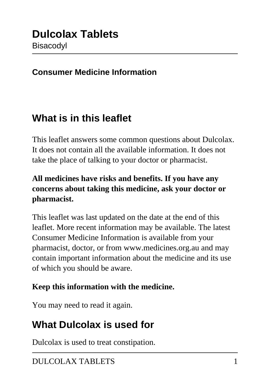#### **Consumer Medicine Information**

### **What is in this leaflet**

This leaflet answers some common questions about Dulcolax. It does not contain all the available information. It does not take the place of talking to your doctor or pharmacist.

#### **All medicines have risks and benefits. If you have any concerns about taking this medicine, ask your doctor or pharmacist.**

This leaflet was last updated on the date at the end of this leaflet. More recent information may be available. The latest Consumer Medicine Information is available from your pharmacist, doctor, or from www.medicines.org.au and may contain important information about the medicine and its use of which you should be aware.

#### **Keep this information with the medicine.**

You may need to read it again.

## **What Dulcolax is used for**

Dulcolax is used to treat constipation.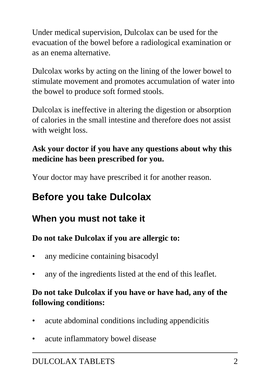Under medical supervision, Dulcolax can be used for the evacuation of the bowel before a radiological examination or as an enema alternative.

Dulcolax works by acting on the lining of the lower bowel to stimulate movement and promotes accumulation of water into the bowel to produce soft formed stools.

Dulcolax is ineffective in altering the digestion or absorption of calories in the small intestine and therefore does not assist with weight loss.

### **Ask your doctor if you have any questions about why this medicine has been prescribed for you.**

Your doctor may have prescribed it for another reason.

# **Before you take Dulcolax**

### **When you must not take it**

#### **Do not take Dulcolax if you are allergic to:**

- any medicine containing bisacodyl
- any of the ingredients listed at the end of this leaflet.

#### **Do not take Dulcolax if you have or have had, any of the following conditions:**

- acute abdominal conditions including appendicitis
- acute inflammatory bowel disease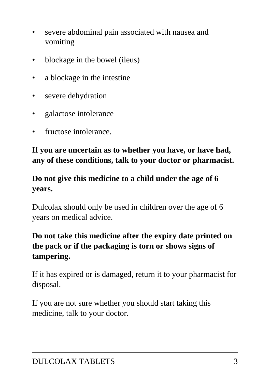- severe abdominal pain associated with nausea and vomiting
- blockage in the bowel (ileus)
- a blockage in the intestine
- severe dehydration
- galactose intolerance
- fructose intolerance.

#### **If you are uncertain as to whether you have, or have had, any of these conditions, talk to your doctor or pharmacist.**

### **Do not give this medicine to a child under the age of 6 years.**

Dulcolax should only be used in children over the age of 6 years on medical advice.

### **Do not take this medicine after the expiry date printed on the pack or if the packaging is torn or shows signs of tampering.**

If it has expired or is damaged, return it to your pharmacist for disposal.

If you are not sure whether you should start taking this medicine, talk to your doctor.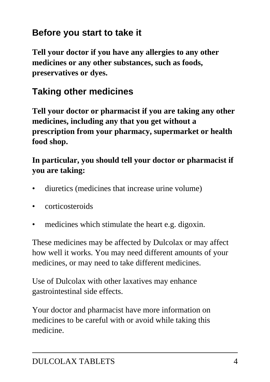### **Before you start to take it**

**Tell your doctor if you have any allergies to any other medicines or any other substances, such as foods, preservatives or dyes.**

### **Taking other medicines**

**Tell your doctor or pharmacist if you are taking any other medicines, including any that you get without a prescription from your pharmacy, supermarket or health food shop.**

#### **In particular, you should tell your doctor or pharmacist if you are taking:**

- diuretics (medicines that increase urine volume)
- corticosteroids
- medicines which stimulate the heart e.g. digoxin.

These medicines may be affected by Dulcolax or may affect how well it works. You may need different amounts of your medicines, or may need to take different medicines.

Use of Dulcolax with other laxatives may enhance gastrointestinal side effects.

Your doctor and pharmacist have more information on medicines to be careful with or avoid while taking this medicine.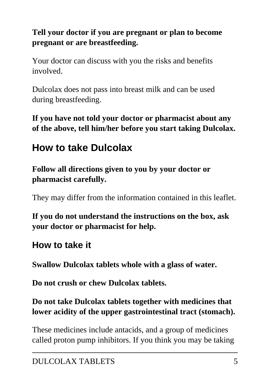### **Tell your doctor if you are pregnant or plan to become pregnant or are breastfeeding.**

Your doctor can discuss with you the risks and benefits involved.

Dulcolax does not pass into breast milk and can be used during breastfeeding.

**If you have not told your doctor or pharmacist about any of the above, tell him/her before you start taking Dulcolax.**

# **How to take Dulcolax**

**Follow all directions given to you by your doctor or pharmacist carefully.**

They may differ from the information contained in this leaflet.

**If you do not understand the instructions on the box, ask your doctor or pharmacist for help.**

### **How to take it**

**Swallow Dulcolax tablets whole with a glass of water.**

**Do not crush or chew Dulcolax tablets.**

**Do not take Dulcolax tablets together with medicines that lower acidity of the upper gastrointestinal tract (stomach).**

These medicines include antacids, and a group of medicines called proton pump inhibitors. If you think you may be taking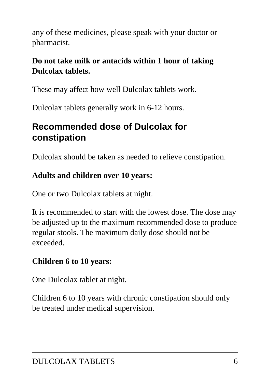any of these medicines, please speak with your doctor or pharmacist.

### **Do not take milk or antacids within 1 hour of taking Dulcolax tablets.**

These may affect how well Dulcolax tablets work.

Dulcolax tablets generally work in 6-12 hours.

### **Recommended dose of Dulcolax for constipation**

Dulcolax should be taken as needed to relieve constipation.

### **Adults and children over 10 years:**

One or two Dulcolax tablets at night.

It is recommended to start with the lowest dose. The dose may be adjusted up to the maximum recommended dose to produce regular stools. The maximum daily dose should not be exceeded.

#### **Children 6 to 10 years:**

One Dulcolax tablet at night.

Children 6 to 10 years with chronic constipation should only be treated under medical supervision.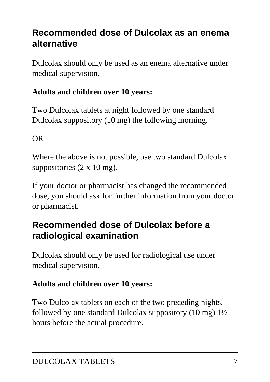### **Recommended dose of Dulcolax as an enema alternative**

Dulcolax should only be used as an enema alternative under medical supervision.

### **Adults and children over 10 years:**

Two Dulcolax tablets at night followed by one standard Dulcolax suppository (10 mg) the following morning.

OR

Where the above is not possible, use two standard Dulcolax suppositories (2 x 10 mg).

If your doctor or pharmacist has changed the recommended dose, you should ask for further information from your doctor or pharmacist.

### **Recommended dose of Dulcolax before a radiological examination**

Dulcolax should only be used for radiological use under medical supervision.

### **Adults and children over 10 years:**

Two Dulcolax tablets on each of the two preceding nights, followed by one standard Dulcolax suppository  $(10 \text{ mg})$   $1\frac{1}{2}$ hours before the actual procedure.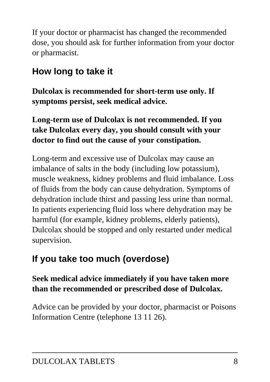If your doctor or pharmacist has changed the recommended dose, you should ask for further information from your doctor or pharmacist.

## **How long to take it**

**Dulcolax is recommended for short-term use only. If symptoms persist, seek medical advice.**

### **Long-term use of Dulcolax is not recommended. If you take Dulcolax every day, you should consult with your doctor to find out the cause of your constipation.**

Long-term and excessive use of Dulcolax may cause an imbalance of salts in the body (including low potassium), muscle weakness, kidney problems and fluid imbalance. Loss of fluids from the body can cause dehydration. Symptoms of dehydration include thirst and passing less urine than normal. In patients experiencing fluid loss where dehydration may be harmful (for example, kidney problems, elderly patients), Dulcolax should be stopped and only restarted under medical supervision.

# **If you take too much (overdose)**

### **Seek medical advice immediately if you have taken more than the recommended or prescribed dose of Dulcolax.**

Advice can be provided by your doctor, pharmacist or Poisons Information Centre (telephone 13 11 26).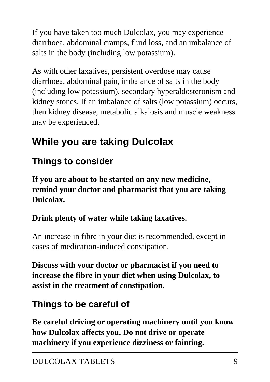If you have taken too much Dulcolax, you may experience diarrhoea, abdominal cramps, fluid loss, and an imbalance of salts in the body (including low potassium).

As with other laxatives, persistent overdose may cause diarrhoea, abdominal pain, imbalance of salts in the body (including low potassium), secondary hyperaldosteronism and kidney stones. If an imbalance of salts (low potassium) occurs, then kidney disease, metabolic alkalosis and muscle weakness may be experienced.

# **While you are taking Dulcolax**

## **Things to consider**

**If you are about to be started on any new medicine, remind your doctor and pharmacist that you are taking Dulcolax.**

### **Drink plenty of water while taking laxatives.**

An increase in fibre in your diet is recommended, except in cases of medication-induced constipation.

**Discuss with your doctor or pharmacist if you need to increase the fibre in your diet when using Dulcolax, to assist in the treatment of constipation.**

## **Things to be careful of**

**Be careful driving or operating machinery until you know how Dulcolax affects you. Do not drive or operate machinery if you experience dizziness or fainting.**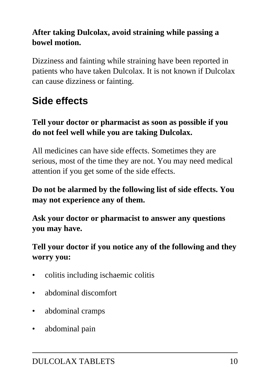### **After taking Dulcolax, avoid straining while passing a bowel motion.**

Dizziness and fainting while straining have been reported in patients who have taken Dulcolax. It is not known if Dulcolax can cause dizziness or fainting.

# **Side effects**

#### **Tell your doctor or pharmacist as soon as possible if you do not feel well while you are taking Dulcolax.**

All medicines can have side effects. Sometimes they are serious, most of the time they are not. You may need medical attention if you get some of the side effects.

#### **Do not be alarmed by the following list of side effects. You may not experience any of them.**

**Ask your doctor or pharmacist to answer any questions you may have.**

### **Tell your doctor if you notice any of the following and they worry you:**

- colitis including ischaemic colitis
- abdominal discomfort
- abdominal cramps
- abdominal pain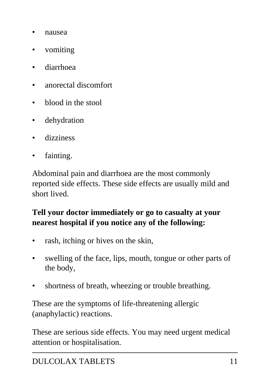- nausea
- vomiting
- diarrhoea
- anorectal discomfort
- blood in the stool
- dehydration
- dizziness
- fainting.

Abdominal pain and diarrhoea are the most commonly reported side effects. These side effects are usually mild and short lived.

#### **Tell your doctor immediately or go to casualty at your nearest hospital if you notice any of the following:**

- rash, itching or hives on the skin,
- swelling of the face, lips, mouth, tongue or other parts of the body,
- shortness of breath, wheezing or trouble breathing.

These are the symptoms of life-threatening allergic (anaphylactic) reactions.

These are serious side effects. You may need urgent medical attention or hospitalisation.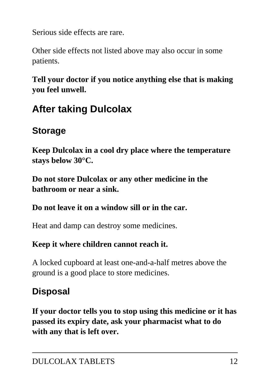Serious side effects are rare.

Other side effects not listed above may also occur in some patients.

**Tell your doctor if you notice anything else that is making you feel unwell.**

# **After taking Dulcolax**

### **Storage**

**Keep Dulcolax in a cool dry place where the temperature stays below 30°C.**

**Do not store Dulcolax or any other medicine in the bathroom or near a sink.**

#### **Do not leave it on a window sill or in the car.**

Heat and damp can destroy some medicines.

### **Keep it where children cannot reach it.**

A locked cupboard at least one-and-a-half metres above the ground is a good place to store medicines.

## **Disposal**

**If your doctor tells you to stop using this medicine or it has passed its expiry date, ask your pharmacist what to do with any that is left over.**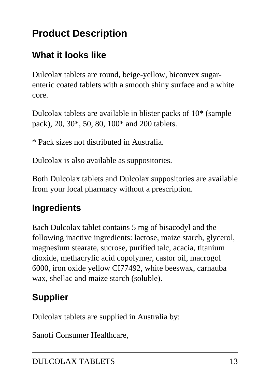# **Product Description**

## **What it looks like**

Dulcolax tablets are round, beige-yellow, biconvex sugarenteric coated tablets with a smooth shiny surface and a white core.

Dulcolax tablets are available in blister packs of 10\* (sample pack), 20, 30\*, 50, 80, 100\* and 200 tablets.

\* Pack sizes not distributed in Australia.

Dulcolax is also available as suppositories.

Both Dulcolax tablets and Dulcolax suppositories are available from your local pharmacy without a prescription.

## **Ingredients**

Each Dulcolax tablet contains 5 mg of bisacodyl and the following inactive ingredients: lactose, maize starch, glycerol, magnesium stearate, sucrose, purified talc, acacia, titanium dioxide, methacrylic acid copolymer, castor oil, macrogol 6000, iron oxide yellow CI77492, white beeswax, carnauba wax, shellac and maize starch (soluble).

## **Supplier**

Dulcolax tablets are supplied in Australia by:

Sanofi Consumer Healthcare,